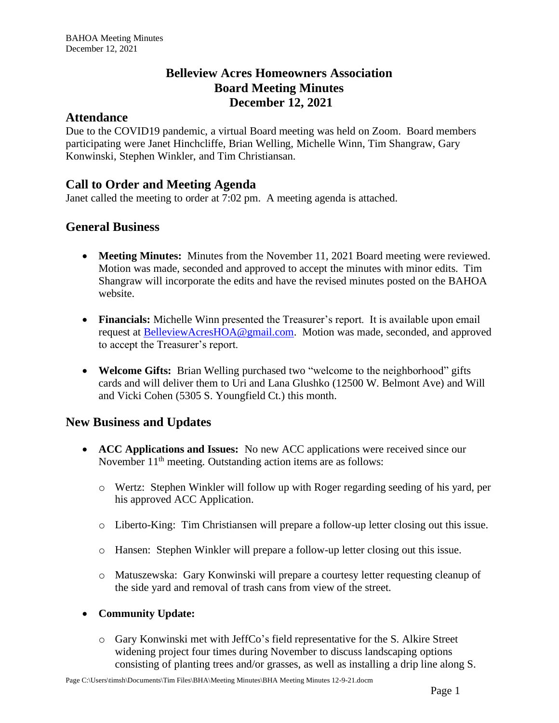# **Belleview Acres Homeowners Association Board Meeting Minutes December 12, 2021**

#### **Attendance**

Due to the COVID19 pandemic, a virtual Board meeting was held on Zoom. Board members participating were Janet Hinchcliffe, Brian Welling, Michelle Winn, Tim Shangraw, Gary Konwinski, Stephen Winkler, and Tim Christiansan.

# **Call to Order and Meeting Agenda**

Janet called the meeting to order at 7:02 pm. A meeting agenda is attached.

## **General Business**

- **Meeting Minutes:** Minutes from the November 11, 2021 Board meeting were reviewed. Motion was made, seconded and approved to accept the minutes with minor edits. Tim Shangraw will incorporate the edits and have the revised minutes posted on the BAHOA website.
- **Financials:** Michelle Winn presented the Treasurer's report. It is available upon email request at [BelleviewAcresHOA@gmail.com.](mailto:BelleviewAcresHOA@gmail.com) Motion was made, seconded, and approved to accept the Treasurer's report.
- **Welcome Gifts:** Brian Welling purchased two "welcome to the neighborhood" gifts cards and will deliver them to Uri and Lana Glushko (12500 W. Belmont Ave) and Will and Vicki Cohen (5305 S. Youngfield Ct.) this month.

## **New Business and Updates**

- **ACC Applications and Issues:** No new ACC applications were received since our November  $11<sup>th</sup>$  meeting. Outstanding action items are as follows:
	- o Wertz: Stephen Winkler will follow up with Roger regarding seeding of his yard, per his approved ACC Application.
	- o Liberto-King: Tim Christiansen will prepare a follow-up letter closing out this issue.
	- o Hansen: Stephen Winkler will prepare a follow-up letter closing out this issue.
	- o Matuszewska: Gary Konwinski will prepare a courtesy letter requesting cleanup of the side yard and removal of trash cans from view of the street.

#### • **Community Update:**

o Gary Konwinski met with JeffCo's field representative for the S. Alkire Street widening project four times during November to discuss landscaping options consisting of planting trees and/or grasses, as well as installing a drip line along S.